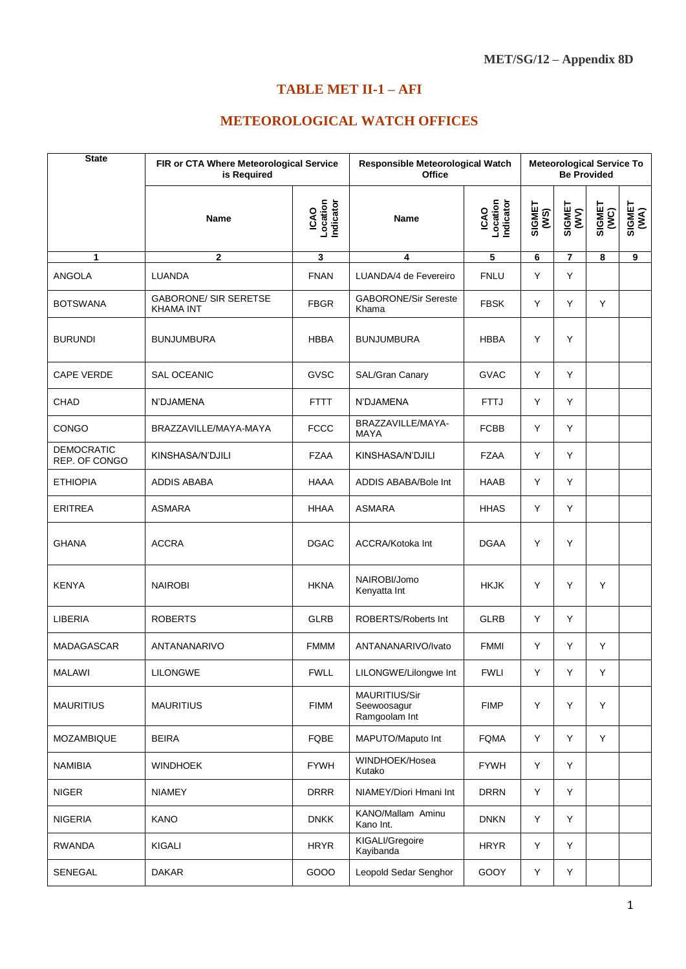## **TABLE MET II-1 - AFI**

## **METEOROLOGICAL WATCH OFFICES**

| <b>State</b>                       | is Required                                      | FIR or CTA Where Meteorological Service |                                                      | Responsible Meteorological Watch<br><b>Office</b> |                | <b>Meteorological Service To</b><br><b>Be Provided</b> |                |                |  |
|------------------------------------|--------------------------------------------------|-----------------------------------------|------------------------------------------------------|---------------------------------------------------|----------------|--------------------------------------------------------|----------------|----------------|--|
|                                    | <b>Name</b>                                      | ICAO<br>Location<br>Indicator           | <b>Name</b>                                          | ICAO<br>Location<br>Indicator                     | SIGMET<br>(WS) | SIGMET<br>(WV)                                         | SIGMET<br>(WC) | SIGMET<br>(WA) |  |
| 1                                  | $\mathbf{2}$                                     | 3                                       | 4                                                    | 5                                                 | 6              | $\overline{7}$                                         | 8              | 9              |  |
| <b>ANGOLA</b>                      | LUANDA                                           | <b>FNAN</b>                             | LUANDA/4 de Fevereiro                                | <b>FNLU</b>                                       | Y              | Y                                                      |                |                |  |
| <b>BOTSWANA</b>                    | <b>GABORONE/ SIR SERETSE</b><br><b>KHAMA INT</b> | <b>FBGR</b>                             | <b>GABORONE/Sir Sereste</b><br>Khama                 | <b>FBSK</b>                                       | Y              | Y                                                      | Y              |                |  |
| <b>BURUNDI</b>                     | <b>BUNJUMBURA</b>                                | <b>HBBA</b>                             | <b>BUNJUMBURA</b>                                    | <b>HBBA</b>                                       | Y              | Y                                                      |                |                |  |
| <b>CAPE VERDE</b>                  | <b>SAL OCEANIC</b>                               | <b>GVSC</b>                             | SAL/Gran Canary                                      | <b>GVAC</b>                                       | Y              | Y                                                      |                |                |  |
| <b>CHAD</b>                        | N'DJAMENA                                        | <b>FTTT</b>                             | N'DJAMENA                                            | FTTJ                                              | Y              | Y                                                      |                |                |  |
| <b>CONGO</b>                       | BRAZZAVILLE/MAYA-MAYA                            | <b>FCCC</b>                             | BRAZZAVILLE/MAYA-<br><b>MAYA</b>                     | <b>FCBB</b>                                       | Y              | Y                                                      |                |                |  |
| <b>DEMOCRATIC</b><br>REP. OF CONGO | KINSHASA/N'DJILI                                 | <b>FZAA</b>                             | KINSHASA/N'DJILI                                     | <b>FZAA</b>                                       | Y              | Y                                                      |                |                |  |
| <b>ETHIOPIA</b>                    | <b>ADDIS ABABA</b>                               | HAAA                                    | ADDIS ABABA/Bole Int                                 | <b>HAAB</b>                                       | Y              | Y                                                      |                |                |  |
| <b>ERITREA</b>                     | <b>ASMARA</b>                                    | HHAA                                    | <b>ASMARA</b>                                        | <b>HHAS</b>                                       | Y              | Y                                                      |                |                |  |
| <b>GHANA</b>                       | <b>ACCRA</b>                                     | <b>DGAC</b>                             | ACCRA/Kotoka Int                                     | <b>DGAA</b>                                       | Y              | Y                                                      |                |                |  |
| <b>KENYA</b>                       | <b>NAIROBI</b>                                   | <b>HKNA</b>                             | NAIROBI/Jomo<br>Kenyatta Int                         | <b>HKJK</b>                                       | Y              | Y                                                      | Y              |                |  |
| LIBERIA                            | <b>ROBERTS</b>                                   | <b>GLRB</b>                             | ROBERTS/Roberts Int                                  | <b>GLRB</b>                                       | Y              | Y                                                      |                |                |  |
| MADAGASCAR                         | ANTANANARIVO                                     | <b>FMMM</b>                             | ANTANANARIVO/Ivato                                   | <b>FMMI</b>                                       | Υ              | Y                                                      | Y              |                |  |
| MALAWI                             | <b>LILONGWE</b>                                  | <b>FWLL</b>                             | LILONGWE/Lilongwe Int                                | <b>FWLI</b>                                       | Y              | Y                                                      | Y              |                |  |
| <b>MAURITIUS</b>                   | <b>MAURITIUS</b>                                 | <b>FIMM</b>                             | <b>MAURITIUS/Sir</b><br>Seewoosagur<br>Ramgoolam Int | <b>FIMP</b>                                       | Y              | Y                                                      | Y              |                |  |
| MOZAMBIQUE                         | <b>BEIRA</b>                                     | FQBE                                    | MAPUTO/Maputo Int                                    | <b>FQMA</b>                                       | Y              | Y                                                      | Y              |                |  |
| <b>NAMIBIA</b>                     | <b>WINDHOEK</b>                                  | <b>FYWH</b>                             | WINDHOEK/Hosea<br>Kutako                             | <b>FYWH</b>                                       | Y              | Y                                                      |                |                |  |
| <b>NIGER</b>                       | <b>NIAMEY</b>                                    | <b>DRRR</b>                             | NIAMEY/Diori Hmani Int                               | <b>DRRN</b>                                       | Y              | Y                                                      |                |                |  |
| <b>NIGERIA</b>                     | KANO                                             | <b>DNKK</b>                             | KANO/Mallam Aminu<br>Kano Int.                       | <b>DNKN</b>                                       | Y              | Y                                                      |                |                |  |
| <b>RWANDA</b>                      | KIGALI                                           | <b>HRYR</b>                             | KIGALI/Gregoire<br>Kayibanda                         | <b>HRYR</b>                                       | Y              | Υ                                                      |                |                |  |
| SENEGAL                            | <b>DAKAR</b>                                     | GOOO                                    | Leopold Sedar Senghor                                | GOOY                                              | Υ              | Υ                                                      |                |                |  |